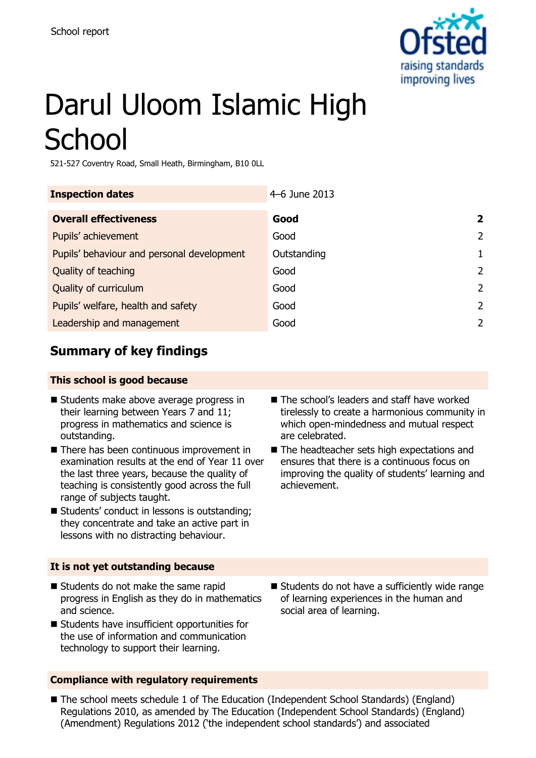

# Darul Uloom Islamic High **School**

521-527 Coventry Road, Small Heath, Birmingham, B10 0LL

| <b>Inspection dates</b>                    | 4–6 June 2013 |                |
|--------------------------------------------|---------------|----------------|
| <b>Overall effectiveness</b>               | Good          | $\overline{2}$ |
| Pupils' achievement                        | Good          | 2              |
| Pupils' behaviour and personal development | Outstanding   |                |
| Quality of teaching                        | Good          | $\mathcal{L}$  |
| Quality of curriculum                      | Good          | $\mathcal{P}$  |
| Pupils' welfare, health and safety         | Good          | $\mathcal{P}$  |
| Leadership and management                  | Good          | $\mathcal{P}$  |

### **Summary of key findings**

#### **This school is good because**

- Students make above average progress in their learning between Years 7 and 11; progress in mathematics and science is outstanding.
- There has been continuous improvement in examination results at the end of Year 11 over the last three years, because the quality of teaching is consistently good across the full range of subjects taught.
- Students' conduct in lessons is outstanding; they concentrate and take an active part in lessons with no distracting behaviour.

#### **It is not yet outstanding because**

- Students do not make the same rapid progress in English as they do in mathematics and science.
- Students have insufficient opportunities for the use of information and communication technology to support their learning.

#### **Compliance with regulatory requirements**

- The school's leaders and staff have worked tirelessly to create a harmonious community in which open-mindedness and mutual respect are celebrated.
- The headteacher sets high expectations and ensures that there is a continuous focus on improving the quality of students' learning and achievement.

■ Students do not have a sufficiently wide range of learning experiences in the human and social area of learning.

■ The school meets schedule 1 of The Education (Independent School Standards) (England) Regulations 2010, as amended by The Education (Independent School Standards) (England) (Amendment) Regulations 2012 ('the independent school standards') and associated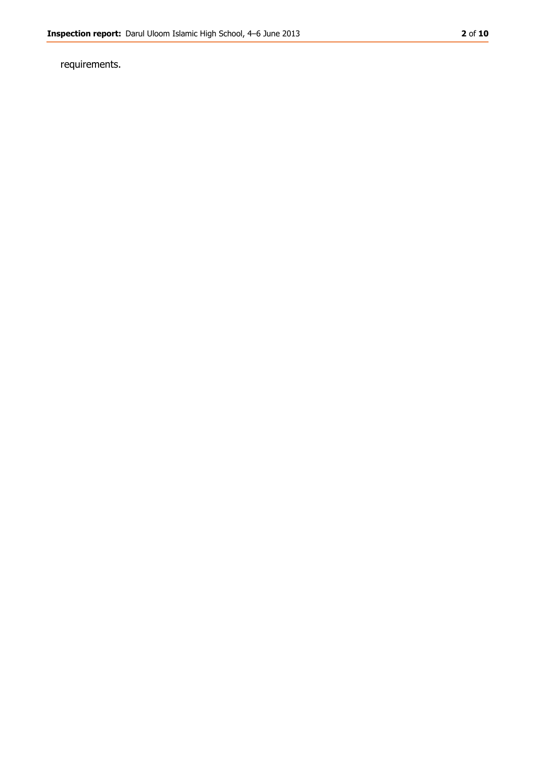requirements.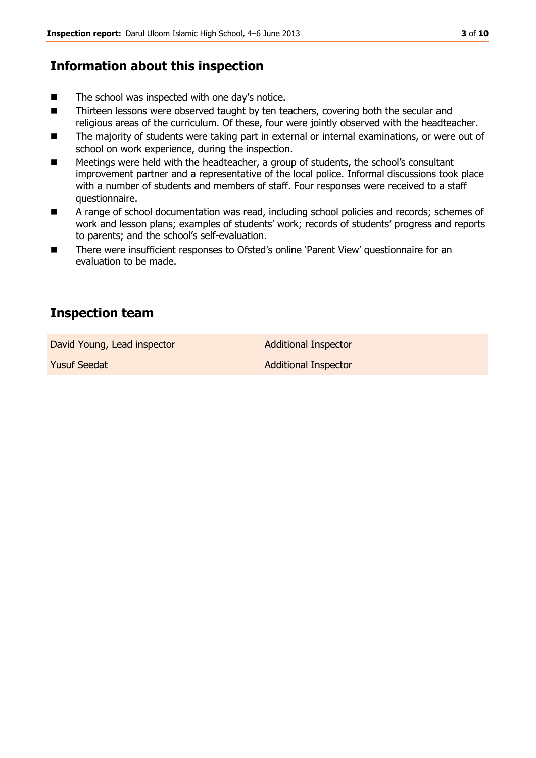#### **Information about this inspection**

- $\blacksquare$  The school was inspected with one day's notice.
- Thirteen lessons were observed taught by ten teachers, covering both the secular and religious areas of the curriculum. Of these, four were jointly observed with the headteacher.
- The majority of students were taking part in external or internal examinations, or were out of school on work experience, during the inspection.
- Meetings were held with the headteacher, a group of students, the school's consultant improvement partner and a representative of the local police. Informal discussions took place with a number of students and members of staff. Four responses were received to a staff questionnaire.
- A range of school documentation was read, including school policies and records; schemes of work and lesson plans; examples of students' work; records of students' progress and reports to parents; and the school's self-evaluation.
- There were insufficient responses to Ofsted's online 'Parent View' questionnaire for an evaluation to be made.

#### **Inspection team**

David Young, Lead inspector and Additional Inspector

**Yusuf Seedat Additional Inspector** Additional Inspector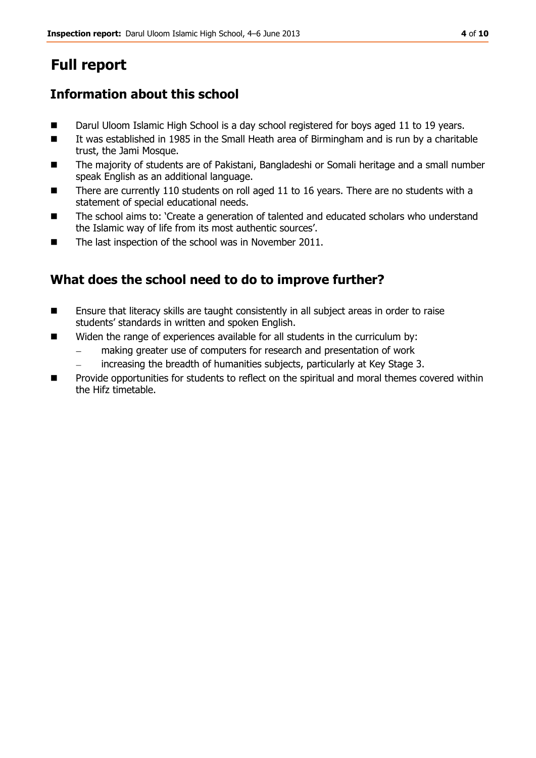# **Full report**

### **Information about this school**

- Darul Uloom Islamic High School is a day school registered for boys aged 11 to 19 years.
- It was established in 1985 in the Small Heath area of Birmingham and is run by a charitable trust, the Jami Mosque.
- The majority of students are of Pakistani, Bangladeshi or Somali heritage and a small number speak English as an additional language.
- There are currently 110 students on roll aged 11 to 16 years. There are no students with a statement of special educational needs.
- The school aims to: 'Create a generation of talented and educated scholars who understand the Islamic way of life from its most authentic sources'.
- The last inspection of the school was in November 2011.

### **What does the school need to do to improve further?**

- Ensure that literacy skills are taught consistently in all subject areas in order to raise students' standards in written and spoken English.
- Widen the range of experiences available for all students in the curriculum by:
	- making greater use of computers for research and presentation of work
	- increasing the breadth of humanities subjects, particularly at Key Stage 3.
- **Provide opportunities for students to reflect on the spiritual and moral themes covered within** the Hifz timetable.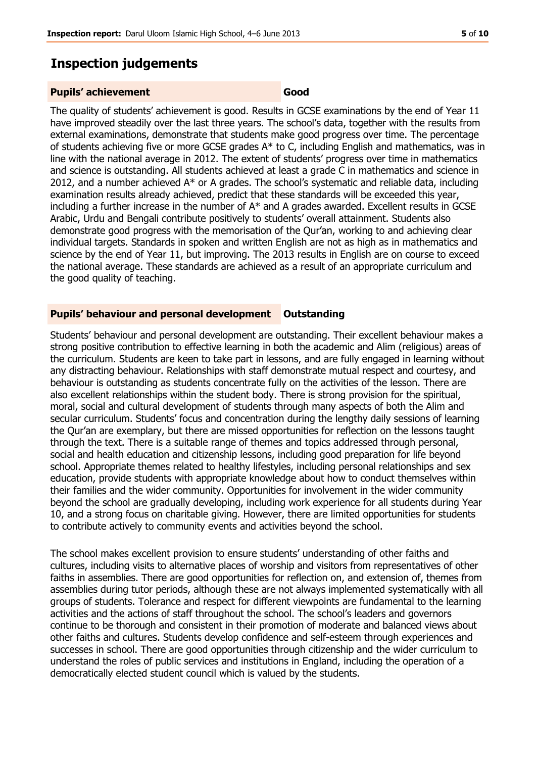#### **Inspection judgements**

#### **Pupils' achievement Good**

The quality of students' achievement is good. Results in GCSE examinations by the end of Year 11 have improved steadily over the last three years. The school's data, together with the results from external examinations, demonstrate that students make good progress over time. The percentage of students achieving five or more GCSE grades A\* to C, including English and mathematics, was in line with the national average in 2012. The extent of students' progress over time in mathematics and science is outstanding. All students achieved at least a grade C in mathematics and science in 2012, and a number achieved A\* or A grades. The school's systematic and reliable data, including examination results already achieved, predict that these standards will be exceeded this year, including a further increase in the number of A\* and A grades awarded. Excellent results in GCSE Arabic, Urdu and Bengali contribute positively to students' overall attainment. Students also demonstrate good progress with the memorisation of the Qur'an, working to and achieving clear individual targets. Standards in spoken and written English are not as high as in mathematics and science by the end of Year 11, but improving. The 2013 results in English are on course to exceed the national average. These standards are achieved as a result of an appropriate curriculum and the good quality of teaching.

#### **Pupils' behaviour and personal development Outstanding**

Students' behaviour and personal development are outstanding. Their excellent behaviour makes a strong positive contribution to effective learning in both the academic and Alim (religious) areas of the curriculum. Students are keen to take part in lessons, and are fully engaged in learning without any distracting behaviour. Relationships with staff demonstrate mutual respect and courtesy, and behaviour is outstanding as students concentrate fully on the activities of the lesson. There are also excellent relationships within the student body. There is strong provision for the spiritual, moral, social and cultural development of students through many aspects of both the Alim and secular curriculum. Students' focus and concentration during the lengthy daily sessions of learning the Qur'an are exemplary, but there are missed opportunities for reflection on the lessons taught through the text. There is a suitable range of themes and topics addressed through personal, social and health education and citizenship lessons, including good preparation for life beyond school. Appropriate themes related to healthy lifestyles, including personal relationships and sex education, provide students with appropriate knowledge about how to conduct themselves within their families and the wider community. Opportunities for involvement in the wider community beyond the school are gradually developing, including work experience for all students during Year 10, and a strong focus on charitable giving. However, there are limited opportunities for students to contribute actively to community events and activities beyond the school.

The school makes excellent provision to ensure students' understanding of other faiths and cultures, including visits to alternative places of worship and visitors from representatives of other faiths in assemblies. There are good opportunities for reflection on, and extension of, themes from assemblies during tutor periods, although these are not always implemented systematically with all groups of students. Tolerance and respect for different viewpoints are fundamental to the learning activities and the actions of staff throughout the school. The school's leaders and governors continue to be thorough and consistent in their promotion of moderate and balanced views about other faiths and cultures. Students develop confidence and self-esteem through experiences and successes in school. There are good opportunities through citizenship and the wider curriculum to understand the roles of public services and institutions in England, including the operation of a democratically elected student council which is valued by the students.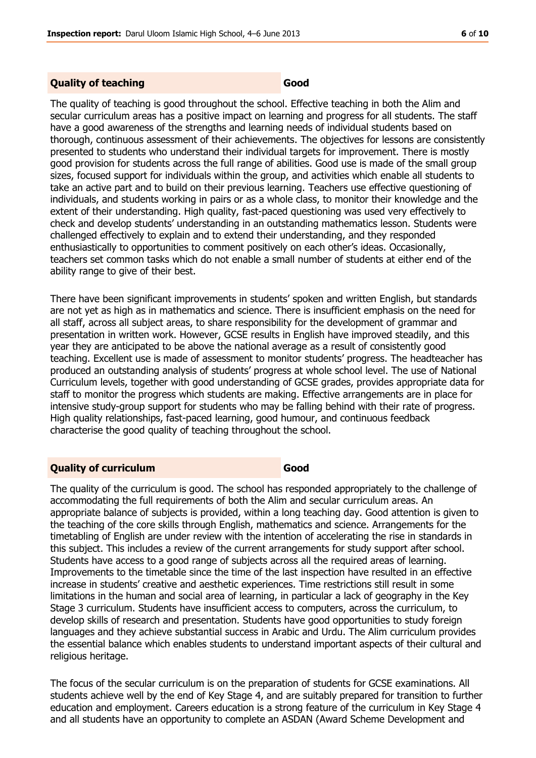#### **Quality of teaching Good**

The quality of teaching is good throughout the school. Effective teaching in both the Alim and secular curriculum areas has a positive impact on learning and progress for all students. The staff have a good awareness of the strengths and learning needs of individual students based on thorough, continuous assessment of their achievements. The objectives for lessons are consistently presented to students who understand their individual targets for improvement. There is mostly good provision for students across the full range of abilities. Good use is made of the small group sizes, focused support for individuals within the group, and activities which enable all students to take an active part and to build on their previous learning. Teachers use effective questioning of individuals, and students working in pairs or as a whole class, to monitor their knowledge and the extent of their understanding. High quality, fast-paced questioning was used very effectively to check and develop students' understanding in an outstanding mathematics lesson. Students were challenged effectively to explain and to extend their understanding, and they responded enthusiastically to opportunities to comment positively on each other's ideas. Occasionally, teachers set common tasks which do not enable a small number of students at either end of the ability range to give of their best.

There have been significant improvements in students' spoken and written English, but standards are not yet as high as in mathematics and science. There is insufficient emphasis on the need for all staff, across all subject areas, to share responsibility for the development of grammar and presentation in written work. However, GCSE results in English have improved steadily, and this year they are anticipated to be above the national average as a result of consistently good teaching. Excellent use is made of assessment to monitor students' progress. The headteacher has produced an outstanding analysis of students' progress at whole school level. The use of National Curriculum levels, together with good understanding of GCSE grades, provides appropriate data for staff to monitor the progress which students are making. Effective arrangements are in place for intensive study-group support for students who may be falling behind with their rate of progress. High quality relationships, fast-paced learning, good humour, and continuous feedback characterise the good quality of teaching throughout the school.

#### **Quality of curriculum Good**

The quality of the curriculum is good. The school has responded appropriately to the challenge of accommodating the full requirements of both the Alim and secular curriculum areas. An appropriate balance of subjects is provided, within a long teaching day. Good attention is given to the teaching of the core skills through English, mathematics and science. Arrangements for the timetabling of English are under review with the intention of accelerating the rise in standards in this subject. This includes a review of the current arrangements for study support after school. Students have access to a good range of subjects across all the required areas of learning. Improvements to the timetable since the time of the last inspection have resulted in an effective increase in students' creative and aesthetic experiences. Time restrictions still result in some limitations in the human and social area of learning, in particular a lack of geography in the Key Stage 3 curriculum. Students have insufficient access to computers, across the curriculum, to develop skills of research and presentation. Students have good opportunities to study foreign languages and they achieve substantial success in Arabic and Urdu. The Alim curriculum provides the essential balance which enables students to understand important aspects of their cultural and religious heritage.

The focus of the secular curriculum is on the preparation of students for GCSE examinations. All students achieve well by the end of Key Stage 4, and are suitably prepared for transition to further education and employment. Careers education is a strong feature of the curriculum in Key Stage 4 and all students have an opportunity to complete an ASDAN (Award Scheme Development and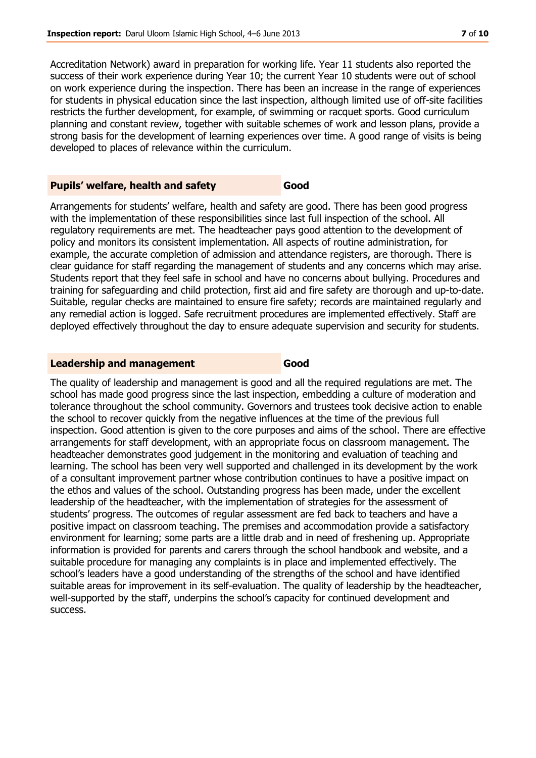Accreditation Network) award in preparation for working life. Year 11 students also reported the success of their work experience during Year 10; the current Year 10 students were out of school on work experience during the inspection. There has been an increase in the range of experiences for students in physical education since the last inspection, although limited use of off-site facilities restricts the further development, for example, of swimming or racquet sports. Good curriculum planning and constant review, together with suitable schemes of work and lesson plans, provide a strong basis for the development of learning experiences over time. A good range of visits is being developed to places of relevance within the curriculum.

#### **Pupils' welfare, health and safety <b>Good**

Arrangements for students' welfare, health and safety are good. There has been good progress with the implementation of these responsibilities since last full inspection of the school. All regulatory requirements are met. The headteacher pays good attention to the development of policy and monitors its consistent implementation. All aspects of routine administration, for example, the accurate completion of admission and attendance registers, are thorough. There is clear guidance for staff regarding the management of students and any concerns which may arise. Students report that they feel safe in school and have no concerns about bullying. Procedures and training for safeguarding and child protection, first aid and fire safety are thorough and up-to-date. Suitable, regular checks are maintained to ensure fire safety; records are maintained regularly and any remedial action is logged. Safe recruitment procedures are implemented effectively. Staff are deployed effectively throughout the day to ensure adequate supervision and security for students.

#### **Leadership and management Good**

The quality of leadership and management is good and all the required regulations are met. The school has made good progress since the last inspection, embedding a culture of moderation and tolerance throughout the school community. Governors and trustees took decisive action to enable the school to recover quickly from the negative influences at the time of the previous full inspection. Good attention is given to the core purposes and aims of the school. There are effective arrangements for staff development, with an appropriate focus on classroom management. The headteacher demonstrates good judgement in the monitoring and evaluation of teaching and learning. The school has been very well supported and challenged in its development by the work of a consultant improvement partner whose contribution continues to have a positive impact on the ethos and values of the school. Outstanding progress has been made, under the excellent leadership of the headteacher, with the implementation of strategies for the assessment of students' progress. The outcomes of regular assessment are fed back to teachers and have a positive impact on classroom teaching. The premises and accommodation provide a satisfactory environment for learning; some parts are a little drab and in need of freshening up. Appropriate information is provided for parents and carers through the school handbook and website, and a suitable procedure for managing any complaints is in place and implemented effectively. The school's leaders have a good understanding of the strengths of the school and have identified suitable areas for improvement in its self-evaluation. The quality of leadership by the headteacher, well-supported by the staff, underpins the school's capacity for continued development and success.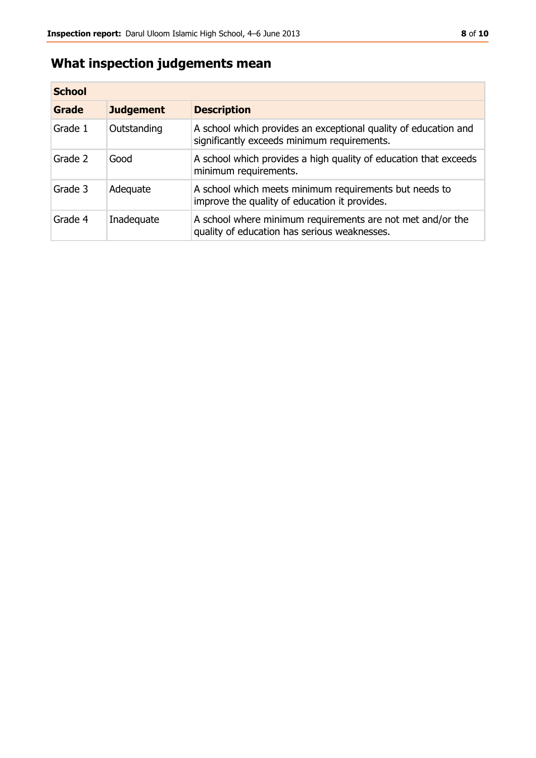## **What inspection judgements mean**

| <b>School</b> |                  |                                                                                                                |  |
|---------------|------------------|----------------------------------------------------------------------------------------------------------------|--|
| Grade         | <b>Judgement</b> | <b>Description</b>                                                                                             |  |
| Grade 1       | Outstanding      | A school which provides an exceptional quality of education and<br>significantly exceeds minimum requirements. |  |
| Grade 2       | Good             | A school which provides a high quality of education that exceeds<br>minimum requirements.                      |  |
| Grade 3       | Adequate         | A school which meets minimum requirements but needs to<br>improve the quality of education it provides.        |  |
| Grade 4       | Inadequate       | A school where minimum requirements are not met and/or the<br>quality of education has serious weaknesses.     |  |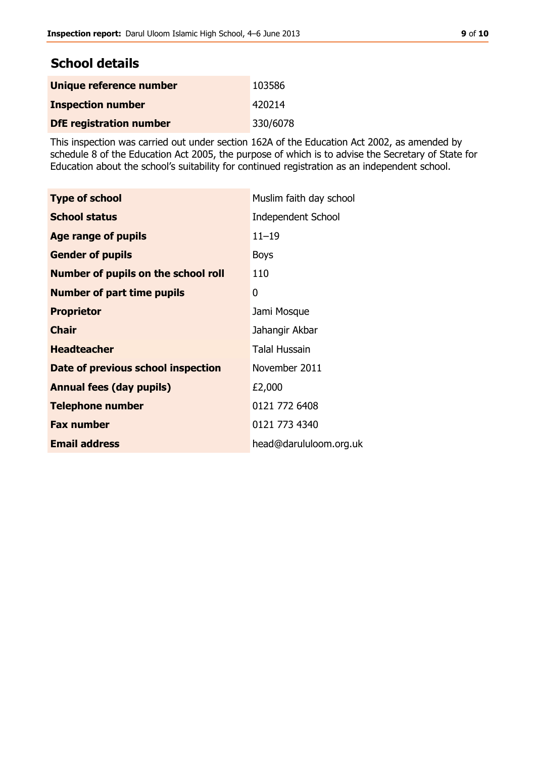#### **School details**

| Unique reference number        | 103586   |
|--------------------------------|----------|
| <b>Inspection number</b>       | 420214   |
| <b>DfE registration number</b> | 330/6078 |

This inspection was carried out under section 162A of the Education Act 2002, as amended by schedule 8 of the Education Act 2005, the purpose of which is to advise the Secretary of State for Education about the school's suitability for continued registration as an independent school.

| <b>Type of school</b>                      | Muslim faith day school   |
|--------------------------------------------|---------------------------|
| <b>School status</b>                       | <b>Independent School</b> |
| Age range of pupils                        | $11 - 19$                 |
| <b>Gender of pupils</b>                    | <b>Boys</b>               |
| <b>Number of pupils on the school roll</b> | 110                       |
| <b>Number of part time pupils</b>          | 0                         |
| <b>Proprietor</b>                          | Jami Mosque               |
| <b>Chair</b>                               | Jahangir Akbar            |
| <b>Headteacher</b>                         | <b>Talal Hussain</b>      |
| Date of previous school inspection         | November 2011             |
| <b>Annual fees (day pupils)</b>            | £2,000                    |
| <b>Telephone number</b>                    | 0121 772 6408             |
| <b>Fax number</b>                          | 0121 773 4340             |
| <b>Email address</b>                       | head@darululoom.org.uk    |